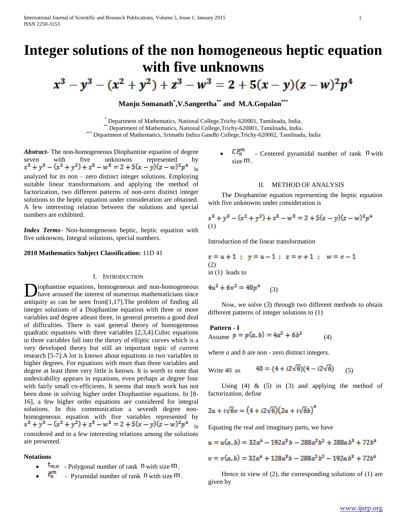# **Integer solutions of the non homogeneous heptic equation with five unknowns**

 $x^3 - y^3 - (x^2 + y^2) + z^3 - w^3 = 2 + 5(x - y)(z - w)^2 p^4$ 

## **Manju Somanath\* ,V.Sangeetha\*\* and M.A.Gopalan\*\*\***

\* Department of Mathematics, National College,Trichy-620001, Tamilnadu, India. Department of Mathematics, National College,Trichy-620001, Tamilnadu, India.

\*\*\* Department of Mathematics, Srimathi Indira Gandhi College, Trichy-620002, Tamilnadu, India

*Abstract***-** The non-homogeneous Diophantine equation of degree seven with five unknowns represented<br>  $x^3 + y^3 - (x^2 + y^2) + z^3 - w^3 = 2 + 5(x - y)(z - w)^2 p^4$ is analyzed for its non – zero distinct integer solutions. Employing suitable linear transformations and applying the method of factorization, two different patterns of non-zero distinct integer solutions to the heptic equation under consideration are obtained. A few interesting relation between the solutions and special numbers are exhibited.

*Index Terms*- Non-homogeneous heptic, heptic equation with five unknowns, Integral solutions, special numbers.

#### **2010 Mathematics Subject Classification:** 11D 41

#### I. INTRODUCTION

**D**iophantine equations, homogeneous and non-homogeneous<br>have aroused the interest of numerous mathematicians since have aroused the interest of numerous mathematicians since antiquity as can be seen from[1,17].The problem of finding all integer solutions of a Diophantine equation with three or more variables and degree atleast three, in general presents a good deal of difficulties. There is vast general theory of homogeneous quadratic equations with three variables [2,3,4].Cubic equations in three variables fall into the theory of elliptic curves which is a very developed theory but still an important topic of current research [5-7].A lot is known about equations in two variables in higher degrees. For equations with more than three variables and degree at least three very little is known. It is worth to note that undesirability appears in equations, even perhaps at degree four with fairly small co-efficients. It seems that much work has not been done in solving higher order Diophantine equations. In [8- 16], a few higher order equations are considered for integral solutions. In this communication a seventh degree nonhomogeneous equation with five variables represented by is considered and in a few interesting relations among the solutions are presented.

### **Notations**

- $t_{m,n}$  Polygonal number of rank n with size m.
- $P_n^m$  Pyramidal number of rank n with size m.

•  $\mathcal{C}P_n^m$  - Centered pyramidal number of rank n with size m.

#### II. METHOD OF ANALYSIS

 The Diophantine equation representing the heptic equation with five unknowns under consideration is

$$
x3 + y3 - (x2 + y2) + z3 - w3 = 2 + 5(x - y)(z - w)2p4
$$
  
(1)

Introduction of the linear transformation

$$
x = u + 1
$$
;  $y = u - 1$ ;  $z = v + 1$ ;  $w = v - 1$   
(2)  
in (1) leads to

$$
4u^2 + 6v^2 = 40p^4 \qquad (3)
$$

 Now, we solve (3) through two different methods to obtain different patterns of integer solutions to (1)

#### **Pattern - I**

Assume  $p = p(a, b) = 4a^2 + 6b^2$  (4)

where *a* and *b* are non - zero distinct integers.

Write 40 as 
$$
40 = (4 + i2\sqrt{6})(4 - i2\sqrt{6})
$$
 (5)

Using (4)  $\&$  (5) in (3) and applying the method of factorization, define

$$
2u + i\sqrt{6}v = (4 + i2\sqrt{6})(2a + i\sqrt{6}b)^4
$$

Equating the real and imaginary parts, we have

$$
u = u(a, b) = 32a4 - 192a3b - 288a2b2 + 288a b3 + 72b4
$$
  

$$
v = v(a, b) = 32a4 + 128a3b - 288a2b2 - 192a b3 + 72b4
$$

 Hence in view of (2), the corresponding solutions of (1) are given by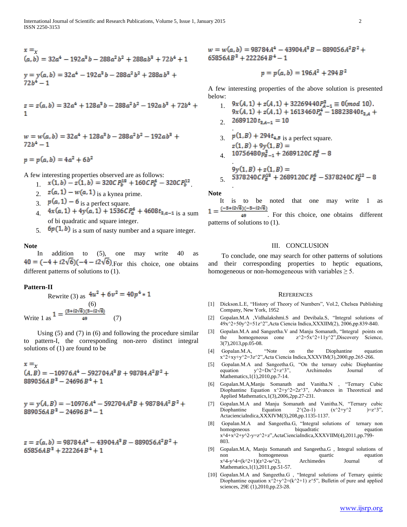$$
x = x
$$
  
(a, b) = 32a<sup>4</sup> - 192a<sup>3</sup>b - 288a<sup>2</sup>b<sup>2</sup> + 288ab<sup>3</sup> + 72b<sup>4</sup> + 1  

$$
y = y(a, b) = 32a4 - 192a3b - 288a2b2 + 288a b3 + 72b4 - 1
$$

$$
z = z(a, b) = 32a4 + 128a3b - 288a2b2 - 192a b3 + 72b4 + 1
$$

$$
w = w(a, b) = 32a4 + 128a3b - 288a2b2 - 192ab3 + 72b4 - 1
$$

 $p = p(a, b) = 4a^2 + 6b^2$ 

A few interesting properties observed are as follows:

- $x(1, b) z(1, b) = 320CP_b^{18} + 160CP_b^6 320CP_b^{12}$
- 2.  $z(a, 1) w(a, 1)$  is a kynea prime.
- 3.  $p(a, 1) 6$  is a perfect square.
- $4x(a, 1) + 4y(a, 1) + 1536CP_a^6 + 4608t_{a,a-1}$  is a sum of bi quadratic and square integer.
- 5.  $\Phi(p(1, b))$  is a sum of nasty number and a square integer.

#### **Note**

In addition to (5), one may write 40 as  $40 = (-4 + i2\sqrt{6})(-4 - i2\sqrt{6})$ . For this choice, one obtains different patterns of solutions to (1).

#### **Pattern-II**

Rewrite (3) as 
$$
4u^{2} + 6v^{2} = 40p^{4} * 1
$$
  
(6)  
Write 1 as 
$$
1 = \frac{(5 + i2\sqrt{6})(5 - i2\sqrt{6})}{49}
$$
 (7)

 Using (5) and (7) in (6) and following the procedure similar to pattern-I, the corresponding non-zero distinct integral solutions of (1) are found to be

$$
x = x
$$
  
(A, B) = -10976A<sup>4</sup> - 592704A<sup>2</sup>B + 98784A<sup>2</sup>B<sup>2</sup> +  
889056A B<sup>3</sup> - 24696B<sup>4</sup> + 1

 $889056AB^3 - 24696B^4 - 1$ 

 $65856AB^3 + 222264B^4 + 1$ 

 $65856AB^3 + 222264B^4 - 1$ 

$$
p = p(a, b) = 196A^2 + 294B^2
$$

A few interesting properties of the above solution is presented below:

- $9x(A, 1) + z(A, 1) + 32269440P_{A-1}^3 \equiv 0 \pmod{10}.$ 1.  $9x(A, 1) + z(A, 1) + 1613460P<sub>A</sub><sup>4</sup> - 18823840t<sub>3,A</sub> +$
- 2. 2689120 $t_{3,4-1} = 10$

.

.

3.  $p(1, B) + 294t_{4, B}$  is a perfect square.

$$
410756480p_{B-1}^2+2689120CP_B^9-8
$$

$$
9y(1, B) + z(1, B) =
$$
  
5. 5378240 $CP_B^{18}$  + 2689120 $CP_B^6$  - 5378240 $CP_B^{12}$  - 8

**Note**

 It is to be noted that one may write 1 as  $(-5+i2\sqrt{6})(-5-i2\sqrt{6})$  $1 =$ 

49 . For this choice, one obtains different patterns of solutions to (1).

#### III. CONCLUSION

 To conclude, one may search for other patterns of solutions and their corresponding properties to heptic equations, homogeneous or non-homogeneous with variables  $\geq$  5.

#### **REFERENCES**

- [1] Dickson.L.E, "History of Theory of Numbers", Vol.2, Chelsea Publishing Company, New York, 1952
- [2] Gopalan.M.A ,Vidhalakshmi.S and Devibala.S, "Integral solutions of 49x^2+50y^2=51z^2",Acta Ciencia Indica,XXXIIM(2), 2006,pp.839-840.
- [3] Gopalan.M.A and Sangeetha.V and Manju Somanath, "Integral points on the homogeneous cone  $z^2=5x^2+11y^2$ , Discovery Science, 3(7),2013,pp.05-08.
- [4] Gopalan.M.A, "Note on the Diophantine equation x^2+xy+y^2=3z^2",Acta Ciencia Indica,XXXVIM(3),2000,pp.265-266.
- [5] Gopalan.M.A and Sangeetha.G, "On the ternary cubic Diophantine equation  $y^2=Dx^2+z^3$ ", Archimedes Journal of Mathematics,1(1),2010,pp.7-14.
- [6] Gopalan.M.A,Manju Somanath and Vanitha.N , "Ternary Cubic Diophantine Equation  $x^2+y^2=2z^3$ , Advances in Theoretical and Applied Mathematics,1(3),2006,2pp.27-231.
- [7] Gopalan.M.A and Manju Somanath and Vanitha.N, "Ternary cubic Diophantine Equation  $2^{(2\alpha-1)}$   $(x^2+y^2)$   $)=z^3$ ", ActacienciaIndica,XXXIVM(3),208,pp.1135-1137.
- [8] Gopalan.M.A and Sangeetha.G, "Integral solutions of ternary non homogeneous biquadratic equation  $x^4 + x^2 + y^2 - y = z^2 + z$ ,ActaCienciaIndica,XXXVIIM(4),2011,pp.799-803.
- [9] Gopalan.M.A, Manju Somanath and Sangeetha.G , Integral solutions of non homogeneous quartic equation  $x^4-y^4=(k^2+1)(z^2-w^2)$ , Archimedes Journal of Mathematics,1(1),2011,pp.51-57.
- [10] Gopalan.M.A and Sangeetha.G , "Integral solutions of Ternary quintic Diophantine equation  $x^2+y^2=(k^2+1)$   $z^3$ , Bulletin of pure and applied sciences, 29E (1),2010,pp.23-28.